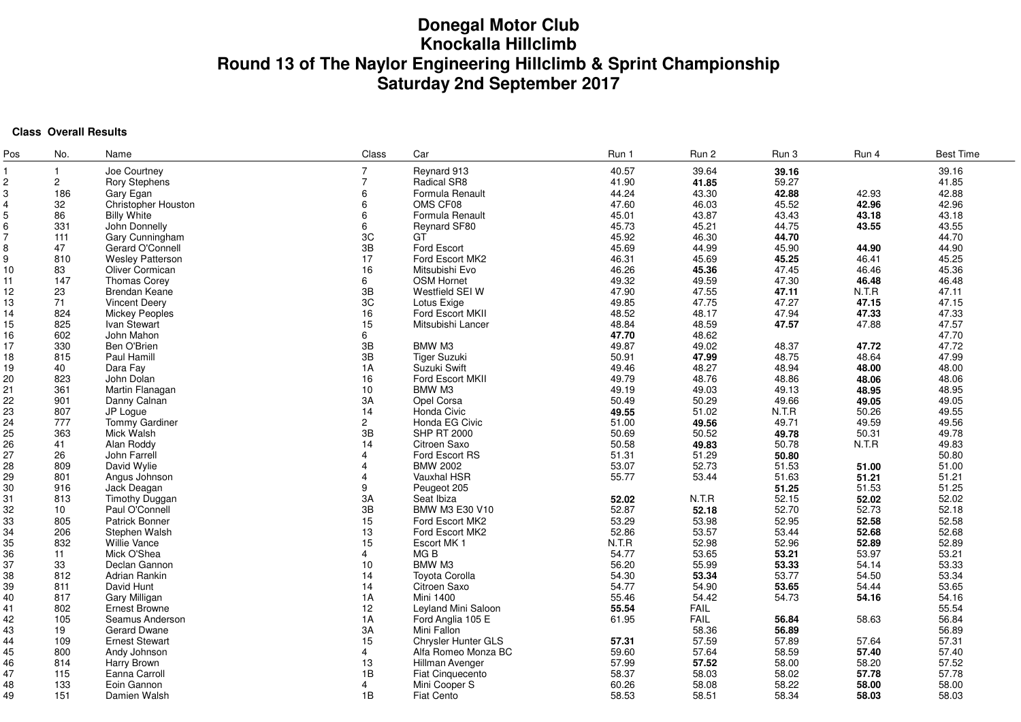# **Donegal Motor Club Knockalla HillclimbRound 13 of The Naylor Engineering Hillclimb & Sprint Championship Saturday 2nd September 2017**

## **Class Overall Results**

| Pos            | No.             | Name                    | Class                   | Car                     | Run 1 | Run 2       | Run 3 | Run 4 | <b>Best Time</b> |
|----------------|-----------------|-------------------------|-------------------------|-------------------------|-------|-------------|-------|-------|------------------|
|                | $\mathbf{1}$    | Joe Courtney            |                         | Reynard 913             | 40.57 | 39.64       | 39.16 |       | 39.16            |
| $\overline{c}$ | $\mathbf{2}$    | <b>Rory Stephens</b>    | $\overline{7}$          | Radical SR8             | 41.90 | 41.85       | 59.27 |       | 41.85            |
| 3              | 186             | Gary Egan               | 6                       | Formula Renault         | 44.24 | 43.30       | 42.88 | 42.93 | 42.88            |
| $\overline{4}$ | 32              | Christopher Houston     | 6                       | OMS CF08                | 47.60 | 46.03       | 45.52 | 42.96 | 42.96            |
| 5              | 86              | <b>Billy White</b>      | 6                       | Formula Renault         | 45.01 | 43.87       | 43.43 | 43.18 | 43.18            |
| 6              | 331             | John Donnelly           | 6                       | Reynard SF80            | 45.73 | 45.21       | 44.75 | 43.55 | 43.55            |
| 7              | 111             | Gary Cunningham         | 3C                      | GT                      | 45.92 | 46.30       | 44.70 |       | 44.70            |
| 8              | 47              | Gerard O'Connell        | 3B                      | Ford Escort             | 45.69 | 44.99       | 45.90 | 44.90 | 44.90            |
| 9              | 810             | <b>Wesley Patterson</b> | 17                      | Ford Escort MK2         | 46.31 | 45.69       | 45.25 | 46.41 | 45.25            |
| 10             | 83              | Oliver Cormican         | 16                      | Mitsubishi Evo          | 46.26 | 45.36       | 47.45 | 46.46 | 45.36            |
| 11             | 147             | <b>Thomas Corey</b>     | 6                       | <b>OSM Hornet</b>       | 49.32 | 49.59       | 47.30 | 46.48 | 46.48            |
| 12             | 23              | Brendan Keane           | 3B                      | Westfield SEI W         | 47.90 | 47.55       | 47.11 | N.T.R | 47.11            |
| 13             | 71              | <b>Vincent Deery</b>    | 3C                      | Lotus Exige             | 49.85 | 47.75       | 47.27 | 47.15 | 47.15            |
| 14             | 824             | Mickey Peoples          | 16                      | Ford Escort MKII        | 48.52 | 48.17       | 47.94 | 47.33 | 47.33            |
| 15             | 825             | Ivan Stewart            | 15                      | Mitsubishi Lancer       | 48.84 | 48.59       | 47.57 | 47.88 | 47.57            |
| 16             | 602             | John Mahon              | 6                       |                         | 47.70 | 48.62       |       |       | 47.70            |
| 17             | 330             | Ben O'Brien             | 3B                      | BMW M3                  | 49.87 | 49.02       | 48.37 | 47.72 | 47.72            |
| 18             | 815             | Paul Hamill             | 3B                      | <b>Tiger Suzuki</b>     | 50.91 | 47.99       | 48.75 | 48.64 | 47.99            |
|                | 40              | Dara Fay                | 1A                      | Suzuki Swift            | 49.46 | 48.27       | 48.94 | 48.00 | 48.00            |
| 19             | 823             | John Dolan              |                         | Ford Escort MKII        | 49.79 | 48.76       | 48.86 | 48.06 | 48.06            |
| 20             |                 | Martin Flanagan         | 16                      | BMW M3                  |       |             |       |       |                  |
| 21             | 361             |                         | 10                      |                         | 49.19 | 49.03       | 49.13 | 48.95 | 48.95            |
| 22             | 901             | Danny Calnan            | 3A                      | Opel Corsa              | 50.49 | 50.29       | 49.66 | 49.05 | 49.05            |
| 23             | 807             | JP Logue                | 14                      | Honda Civic             | 49.55 | 51.02       | N.T.R | 50.26 | 49.55            |
| 24             | 777             | Tommy Gardiner          | $\mathbf{2}$            | Honda EG Civic          | 51.00 | 49.56       | 49.71 | 49.59 | 49.56            |
| 25             | 363             | Mick Walsh              | 3B                      | <b>SHP RT 2000</b>      | 50.69 | 50.52       | 49.78 | 50.31 | 49.78            |
| 26             | 41              | Alan Roddy              | 14                      | Citroen Saxo            | 50.58 | 49.83       | 50.78 | N.T.R | 49.83            |
| 27             | 26              | John Farrell            | $\overline{4}$          | Ford Escort RS          | 51.31 | 51.29       | 50.80 |       | 50.80            |
| 28             | 809             | David Wylie             | $\overline{4}$          | <b>BMW 2002</b>         | 53.07 | 52.73       | 51.53 | 51.00 | 51.00            |
| 29             | 801             | Angus Johnson           | $\boldsymbol{\Delta}$   | Vauxhal HSR             | 55.77 | 53.44       | 51.63 | 51.21 | 51.21            |
| 30             | 916             | Jack Deagan             | 9                       | Peugeot 205             |       |             | 51.25 | 51.53 | 51.25            |
| 31             | 813             | <b>Timothy Duggan</b>   | 3A                      | Seat Ibiza              | 52.02 | N.T.R       | 52.15 | 52.02 | 52.02            |
| 32             | 10 <sup>1</sup> | Paul O'Connell          | 3B                      | BMW M3 E30 V10          | 52.87 | 52.18       | 52.70 | 52.73 | 52.18            |
| 33             | 805             | Patrick Bonner          | 15                      | Ford Escort MK2         | 53.29 | 53.98       | 52.95 | 52.58 | 52.58            |
| 34             | 206             | Stephen Walsh           | 13                      | Ford Escort MK2         | 52.86 | 53.57       | 53.44 | 52.68 | 52.68            |
| 35             | 832             | <b>Willie Vance</b>     | 15                      | Escort MK 1             | N.T.R | 52.98       | 52.96 | 52.89 | 52.89            |
| 36             | 11              | Mick O'Shea             | $\overline{4}$          | MG B                    | 54.77 | 53.65       | 53.21 | 53.97 | 53.21            |
| 37             | 33              | Declan Gannon           | 10                      | BMW M3                  | 56.20 | 55.99       | 53.33 | 54.14 | 53.33            |
| 38             | 812             | <b>Adrian Rankin</b>    | 14                      | <b>Toyota Corolla</b>   | 54.30 | 53.34       | 53.77 | 54.50 | 53.34            |
| 39             | 811             | David Hunt              | 14                      | Citroen Saxo            | 54.77 | 54.90       | 53.65 | 54.44 | 53.65            |
| 40             | 817             | Gary Milligan           | 1A                      | <b>Mini 1400</b>        | 55.46 | 54.42       | 54.73 | 54.16 | 54.16            |
| 41             | 802             | Ernest Browne           | $12 \,$                 | Leyland Mini Saloon     | 55.54 | FAIL        |       |       | 55.54            |
| 42             | 105             | Seamus Anderson         | 1A                      | Ford Anglia 105 E       | 61.95 | <b>FAIL</b> | 56.84 | 58.63 | 56.84            |
| 43             | 19              | Gerard Dwane            | 3A                      | Mini Fallon             |       | 58.36       | 56.89 |       | 56.89            |
| 44             | 109             | <b>Ernest Stewart</b>   | 15                      | Chrysler Hunter GLS     | 57.31 | 57.59       | 57.89 | 57.64 | 57.31            |
| 45             | 800             | Andy Johnson            | $\overline{\mathbf{A}}$ | Alfa Romeo Monza BC     | 59.60 | 57.64       | 58.59 | 57.40 | 57.40            |
| 46             | 814             | Harry Brown             | 13                      | Hillman Avenger         | 57.99 | 57.52       | 58.00 | 58.20 | 57.52            |
| 47             | 115             | Eanna Carroll           | 1B                      | <b>Fiat Cinquecento</b> | 58.37 | 58.03       | 58.02 | 57.78 | 57.78            |
| 48             | 133             | Eoin Gannon             | 4                       | Mini Cooper S           | 60.26 | 58.08       | 58.22 | 58.00 | 58.00            |
| 49             | 151             | Damien Walsh            | 1B                      | <b>Fiat Cento</b>       | 58.53 | 58.51       | 58.34 | 58.03 | 58.03            |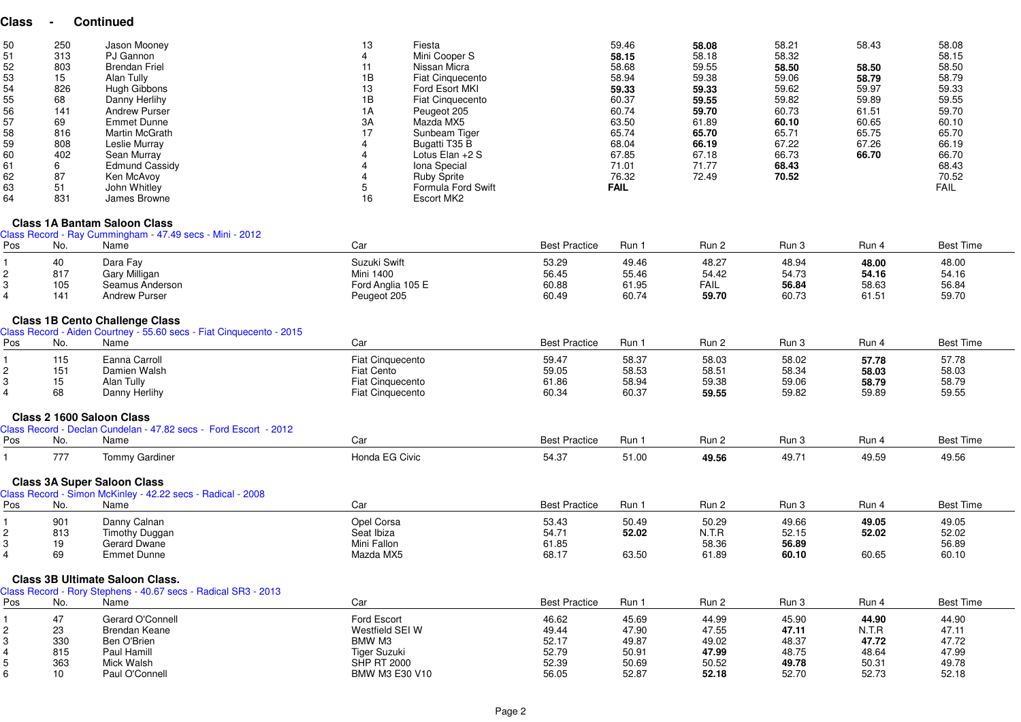## **Class - Continued**

| 50<br>51<br>52<br>53<br>54<br>55<br>56<br>57<br>58<br>59<br>60<br>61<br>62<br>63 | 250<br>313<br>803<br>15<br>826<br>68<br>141<br>69<br>816<br>808<br>402<br>6<br>87<br>51 | Jason Mooney<br>PJ Gannon<br><b>Brendan Friel</b><br>Alan Tully<br>Hugh Gibbons<br>Danny Herlihy<br><b>Andrew Purser</b><br>Emmet Dunne<br>Martin McGrath<br>Leslie Murray<br>Sean Murray<br><b>Edmund Cassidy</b><br>Ken McAvoy<br>John Whitley | 13<br>1B<br>13<br>1B<br>1A<br>3A | Fiesta<br>Mini Cooper S<br>Nissan Micra<br><b>Fiat Cinquecento</b><br>Ford Esort MKI<br>Fiat Cinquecento<br>Peugeot 205<br>Mazda MX5<br>Sunbeam Tiger<br>Bugatti T35 B<br>Lotus Elan $+2$ S<br>Iona Special<br><b>Ruby Sprite</b><br>Formula Ford Swift | 59.46<br>58.15<br>58.68<br>58.94<br>59.33<br>60.37<br>60.74<br>63.50<br>65.74<br>68.04<br>67.85<br>71.01<br>76.32<br><b>FAIL</b> | 58.08<br>58.18<br>59.55<br>59.38<br>59.33<br>59.55<br>59.70<br>61.89<br>65.70<br>66.19<br>67.18<br>71.77<br>72.49 | 58.21<br>58.32<br>58.50<br>59.06<br>59.62<br>59.82<br>60.73<br>60.10<br>65.71<br>67.22<br>66.73<br>68.43<br>70.52 | 58.43<br>58.50<br>58.79<br>59.97<br>59.89<br>61.51<br>60.65<br>65.75<br>67.26<br>66.70 | 58.08<br>58.15<br>58.50<br>58.79<br>59.33<br>59.55<br>59.70<br>60.10<br>65.70<br>66.19<br>66.70<br>68.43<br>70.52<br><b>FAIL</b> |
|----------------------------------------------------------------------------------|-----------------------------------------------------------------------------------------|--------------------------------------------------------------------------------------------------------------------------------------------------------------------------------------------------------------------------------------------------|----------------------------------|---------------------------------------------------------------------------------------------------------------------------------------------------------------------------------------------------------------------------------------------------------|----------------------------------------------------------------------------------------------------------------------------------|-------------------------------------------------------------------------------------------------------------------|-------------------------------------------------------------------------------------------------------------------|----------------------------------------------------------------------------------------|----------------------------------------------------------------------------------------------------------------------------------|
| 64                                                                               | 831                                                                                     | James Browne                                                                                                                                                                                                                                     | 16                               | Escort MK2                                                                                                                                                                                                                                              |                                                                                                                                  |                                                                                                                   |                                                                                                                   |                                                                                        |                                                                                                                                  |

#### **Class 1A Bantam Saloon Class**

 Class Record - Ray Cummingham - 47.49 secs - Mini - 2012Pos No. Namee and the Car Car Best Practice Run 1 Run 2 Run 3 Run 4 Best Time Best Time and the Car Best Time and the Best Time 1 40 Dara Fay Suzuki Swift 53.29 49.46 48.27 48.94 **48.00** 48.00 2 817 Gary Milligan Mini 1400 56.45 55.46 54.42 54.73 **54.16** 54.16 3 105 Seamus Anderson Ford Anglia 105 E 60.88 61.95 FAIL **56.84** 58.63 56.84 4 141 Andrew Purser Peugeot 205 60.49 60.74 **59.70** 60.73 61.51 59.70 **Class 1B Cento Challenge Class** Class Record - Aiden Courtney - 55.60 secs - Fiat Cinquecento - 2015PosNo. Name e and the Car Car Best Practice Run 1 Run 2 Run 3 Run 4 Best Time Best Time and the Car Best Time and the Best Time 1 115 Eanna Carroll Fiat Cinquecento 59.47 58.37 58.03 58.02 **57.78** 57.78 2 151 Damien Walsh Fiat Cento 59.05 58.53 58.51 58.34 **58.03** 58.03 3 15 Alan Tully Fiat Cinquecento 61.86 58.94 59.38 59.06 **58.79** 58.79 4 68 Danny Herlihy Fiat Cinquecento 60.34 60.37 **59.55** 59.82 59.89 59.55 **Class 2 1600 Saloon Class** Class Record - Declan Cundelan - 47.82 secs - Ford Escort - 2012Pos No. Namee and the Car Car and the Sest Practice Run 1 Run 2 Run 3 Run 4 Best Time Best Time and the Sest Time and the Sest Time and the Sest Time and the Sest Time and the Sest Time and the Sest Time and the Sest Time and the Sest 11 777 Tommy Gardiner 1980 September 2007 Honda EG Civic 1980 Studies **54.37 51.00** 54.356 49.71 49.59 49.56 49.56

### **Class 3A Super Saloon Class**

| Pos | No. | Name           | Car         | <b>Best Practice</b> | Run 1 | Run 2 | Run 3 | Run 4 | Best Time |
|-----|-----|----------------|-------------|----------------------|-------|-------|-------|-------|-----------|
|     | 901 | Danny Calnan   | Opel Corsa  | 53.43                | 50.49 | 50.29 | 49.66 | 49.05 | 49.05     |
|     | 813 | Timothy Duggan | Seat Ibiza  | 54.71                | 52.02 | N.T.R | 52.15 | 52.02 | 52.02     |
|     | 19  | Gerard Dwane   | Mini Fallon | 61.85                |       | 58.36 | 56.89 |       | 56.89     |
|     | 69  | Emmet Dunne    | Mazda MX5   | 68.17                | 63.50 | 61.89 | 60.10 | 60.65 | 60.10     |

Class Record - Rory Stephens - 40.67 secs - Radical SR3 - 2013

| Pos | No. | Name             | Car                | <b>Best Practice</b> | Run 1 | Run 2 | Run 3 | Run 4 | <b>Best Time</b> |
|-----|-----|------------------|--------------------|----------------------|-------|-------|-------|-------|------------------|
|     | 47  | Gerard O'Connell | Ford Escort        | 46.62                | 45.69 | 44.99 | 45.90 | 44.90 | 44.90            |
|     | 23  | Brendan Keane    | Westfield SEI W    | 49.44                | 47.90 | 47.55 | 47.11 | N.T.R | 47.11            |
|     | 330 | Ben O'Brien      | BMW M3             | 52.17                | 49.87 | 49.02 | 48.37 | 47.72 | 47.72            |
|     | 815 | Paul Hamill      | Tiger Suzuki       | 52.79                | 50.91 | 47.99 | 48.75 | 48.64 | 47.99            |
|     | 363 | Mick Walsh       | <b>SHP RT 2000</b> | 52.39                | 50.69 | 50.52 | 49.78 | 50.31 | 49.78            |
|     | 10  | Paul O'Connell   | BMW M3 E30 V10     | 56.05                | 52.87 | 52.18 | 52.70 | 52.73 | 52.18            |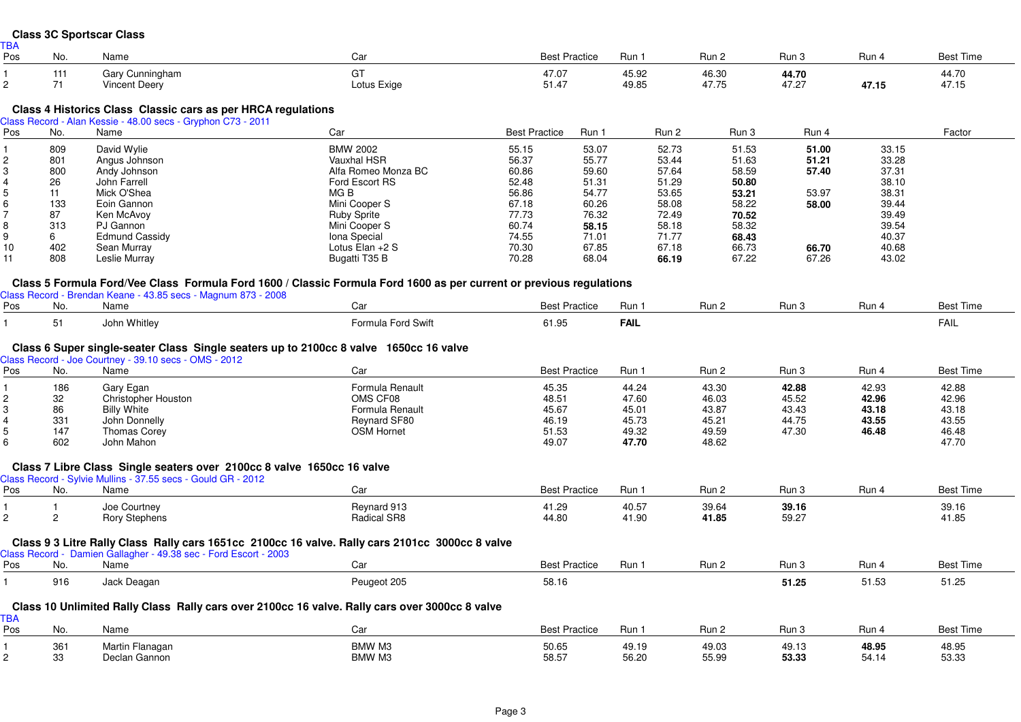#### **Class 3C Sportscar Class**TBA

| יש ו<br>Pos | . ۱۷۲.    | Name                              | va.               | <b>Best Practice</b> | Run            | Run                        | Run                                       | Run   | Best                    |
|-------------|-----------|-----------------------------------|-------------------|----------------------|----------------|----------------------------|-------------------------------------------|-------|-------------------------|
|             | $-1$<br>. | Gary Cunningham<br>''incent Deery | ~-<br>Lotus Exige | 47.07<br>51.47       | 45.92<br>49.85 | 46.30<br>17.7 <sub>E</sub> | $\mathbf{A} \mathbf{A}$<br>44.7U<br>47.27 | 47.15 | 44.70<br>17.11<br>41.15 |

## **Class 4 Historics Class Classic cars as per HRCA regulations** Class Record - Alan Kessie - 48.00 secs - Gryphon C73 - 2011

| Pos | No. | Name                  | Car                 | <b>Best Practice</b> | Run 1 | Run 2 | Run 3 | Run 4 |       | Factor |
|-----|-----|-----------------------|---------------------|----------------------|-------|-------|-------|-------|-------|--------|
|     | 809 | David Wylie           | <b>BMW 2002</b>     | 55.15                | 53.07 | 52.73 | 51.53 | 51.00 | 33.15 |        |
|     | 801 | Angus Johnson         | Vauxhal HSR         | 56.37                | 55.77 | 53.44 | 51.63 | 51.21 | 33.28 |        |
|     | 800 | Andy Johnson          | Alfa Romeo Monza BC | 60.86                | 59.60 | 57.64 | 58.59 | 57.40 | 37.31 |        |
|     | 26  | John Farrell          | Ford Escort RS      | 52.48                | 51.31 | 51.29 | 50.80 |       | 38.10 |        |
|     |     | Mick O'Shea           | MG B                | 56.86                | 54.77 | 53.65 | 53.21 | 53.97 | 38.31 |        |
|     | 133 | Eoin Gannon           | Mini Cooper S       | 67.18                | 60.26 | 58.08 | 58.22 | 58.00 | 39.44 |        |
|     | 87  | Ken McAvoy            | <b>Ruby Sprite</b>  | 77.73                | 76.32 | 72.49 | 70.52 |       | 39.49 |        |
|     | 313 | PJ Gannon             | Mini Cooper S       | 60.74                | 58.15 | 58.18 | 58.32 |       | 39.54 |        |
|     | 6   | <b>Edmund Cassidy</b> | Iona Special        | 74.55                | 71.01 | 71.77 | 68.43 |       | 40.37 |        |
| 10  | 402 | Sean Murray           | Lotus Elan +2 S     | 70.30                | 67.85 | 67.18 | 66.73 | 66.70 | 40.68 |        |
| 11  | 808 | Leslie Murray         | Bugatti T35 B       | 70.28                | 68.04 | 66.19 | 67.22 | 67.26 | 43.02 |        |

## **Class 5 Formula Ford/Vee Class Formula Ford 1600 / Classic Formula Ford 1600 as per current or previous regulations**

| Do. | No.             | Name         | $\sim$<br>va       | Practice<br>ו^∼⊆<br>טסט. | Run         | ∟ וו⊔ר | −∙.<br>ט ווטרו | Run | <b>Best Time</b> |
|-----|-----------------|--------------|--------------------|--------------------------|-------------|--------|----------------|-----|------------------|
|     | $\cdot$ $\cdot$ | John Whitley | Formula Ford Swift | 61.95                    | <b>FAIL</b> |        |                |     | FAIL             |

## **Class 6 Super single-seater Class Single seaters up to 2100cc 8 valve 1650cc 16 valve**

|                |                | Class Record - Joe Courtney - 39.10 secs - OMS - 2012                                           |                    |                      |       |       |       |       |                  |
|----------------|----------------|-------------------------------------------------------------------------------------------------|--------------------|----------------------|-------|-------|-------|-------|------------------|
| Pos            | No.            | Name                                                                                            | Car                | <b>Best Practice</b> | Run 1 | Run 2 | Run 3 | Run 4 | <b>Best Time</b> |
|                | 186            | Gary Egan                                                                                       | Formula Renault    | 45.35                | 44.24 | 43.30 | 42.88 | 42.93 | 42.88            |
|                | 32             | <b>Christopher Houston</b>                                                                      | OMS CF08           | 48.51                | 47.60 | 46.03 | 45.52 | 42.96 | 42.96            |
|                | 86             | <b>Billy White</b>                                                                              | Formula Renault    | 45.67                | 45.01 | 43.87 | 43.43 | 43.18 | 43.18            |
|                | 331            | John Donnelly                                                                                   | Reynard SF80       | 46.19                | 45.73 | 45.21 | 44.75 | 43.55 | 43.55            |
|                | 147            | <b>Thomas Corey</b>                                                                             | <b>OSM Hornet</b>  | 51.53                | 49.32 | 49.59 | 47.30 | 46.48 | 46.48            |
| 6              | 602            | John Mahon                                                                                      |                    | 49.07                | 47.70 | 48.62 |       |       | 47.70            |
|                |                | Class 7 Libre Class Single seaters over 2100cc 8 valve 1650cc 16 valve                          |                    |                      |       |       |       |       |                  |
|                |                | Class Record - Sylvie Mullins - 37.55 secs - Gould GR - 2012                                    |                    |                      |       |       |       |       |                  |
| Pos            | No.            | Name                                                                                            | Car                | <b>Best Practice</b> | Run 1 | Run 2 | Run 3 | Run 4 | <b>Best Time</b> |
|                |                | Joe Courtney                                                                                    | Reynard 913        | 41.29                | 40.57 | 39.64 | 39.16 |       | 39.16            |
| $\overline{2}$ | $\overline{2}$ | <b>Rory Stephens</b>                                                                            | <b>Radical SR8</b> | 44.80                | 41.90 | 41.85 | 59.27 |       | 41.85            |
|                |                | Class 9 3 Litre Rally Class Rally cars 1651cc 2100cc 16 valve. Rally cars 2101cc 3000cc 8 valve |                    |                      |       |       |       |       |                  |
|                |                | Class Record - Damien Gallagher - 49.38 sec - Ford Escort - 2003                                |                    |                      |       |       |       |       |                  |
| Pos            | No.            | Name                                                                                            | Car                | <b>Best Practice</b> | Run 1 | Run 2 | Run 3 | Run 4 | <b>Best Time</b> |
|                | 916            | Jack Deagan                                                                                     | Peugeot 205        | 58.16                |       |       | 51.25 | 51.53 | 51.25            |
|                |                | Class 10 Unlimited Rally Class Rally cars over 2100cc 16 valve. Rally cars over 3000cc 8 valve  |                    |                      |       |       |       |       |                  |
| <b>TBA</b>     |                |                                                                                                 |                    |                      |       |       |       |       |                  |
| Pos            | No.            | Name                                                                                            | Car                | <b>Best Practice</b> | Run 1 | Run 2 | Run 3 | Run 4 | <b>Best Time</b> |
|                | 361            | Martin Flanagan                                                                                 | BMW M3             | 50.65                | 49.19 | 49.03 | 49.13 | 48.95 | 48.95            |
|                | 33             | Declan Gannon                                                                                   | BMW M3             | 58.57                | 56.20 | 55.99 | 53.33 | 54.14 | 53.33            |
|                |                |                                                                                                 |                    |                      |       |       |       |       |                  |